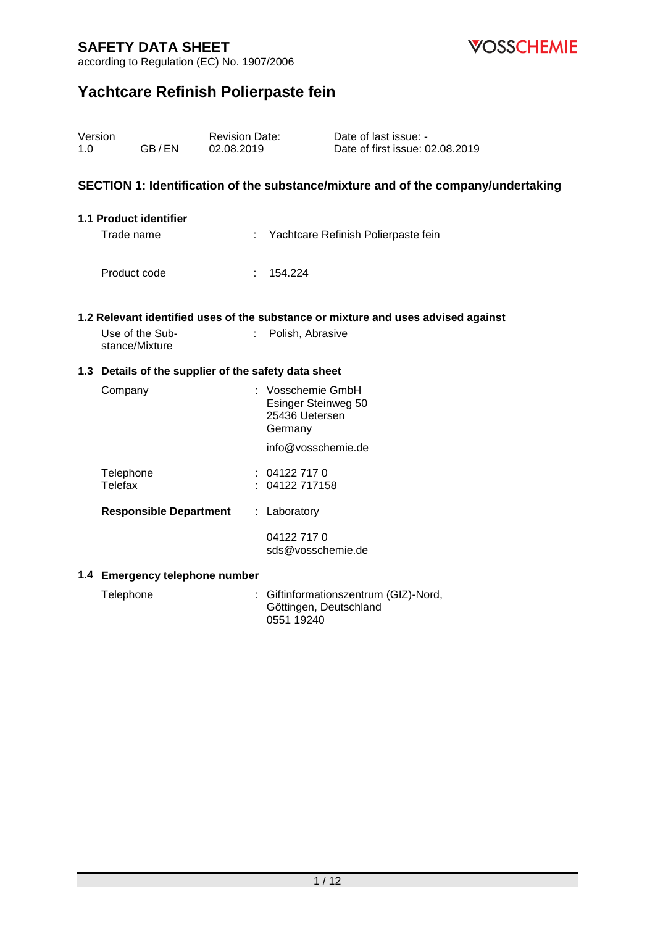

according to Regulation (EC) No. 1907/2006

# **Yachtcare Refinish Polierpaste fein**

| Version<br>1.0 | GB/EN                             | <b>Revision Date:</b><br>02.08.2019                  | Date of last issue: -<br>Date of first issue: 02.08.2019                          |
|----------------|-----------------------------------|------------------------------------------------------|-----------------------------------------------------------------------------------|
|                |                                   |                                                      | SECTION 1: Identification of the substance/mixture and of the company/undertaking |
|                | 1.1 Product identifier            |                                                      |                                                                                   |
|                | Trade name                        |                                                      | : Yachtcare Refinish Polierpaste fein                                             |
|                | Product code                      | 154.224                                              |                                                                                   |
|                |                                   |                                                      | 1.2 Relevant identified uses of the substance or mixture and uses advised against |
|                | Use of the Sub-<br>stance/Mixture | ÷.                                                   | Polish, Abrasive                                                                  |
|                |                                   | 1.3 Details of the supplier of the safety data sheet |                                                                                   |
|                | Company                           | Germany                                              | : Vosschemie GmbH<br>Esinger Steinweg 50<br>25436 Uetersen                        |
|                |                                   |                                                      | info@vosschemie.de                                                                |
|                | Telephone<br>Telefax              | : 041227170<br>04122 717158                          |                                                                                   |
|                | <b>Responsible Department</b>     | : Laboratory                                         |                                                                                   |
|                |                                   | 04122 717 0                                          | sds@vosschemie.de                                                                 |
|                | 1.4 Emergency telephone number    |                                                      |                                                                                   |

| Telephone | : Giftinformationszentrum (GIZ)-Nord, |
|-----------|---------------------------------------|
|           | Göttingen, Deutschland                |
|           | 0551 19240                            |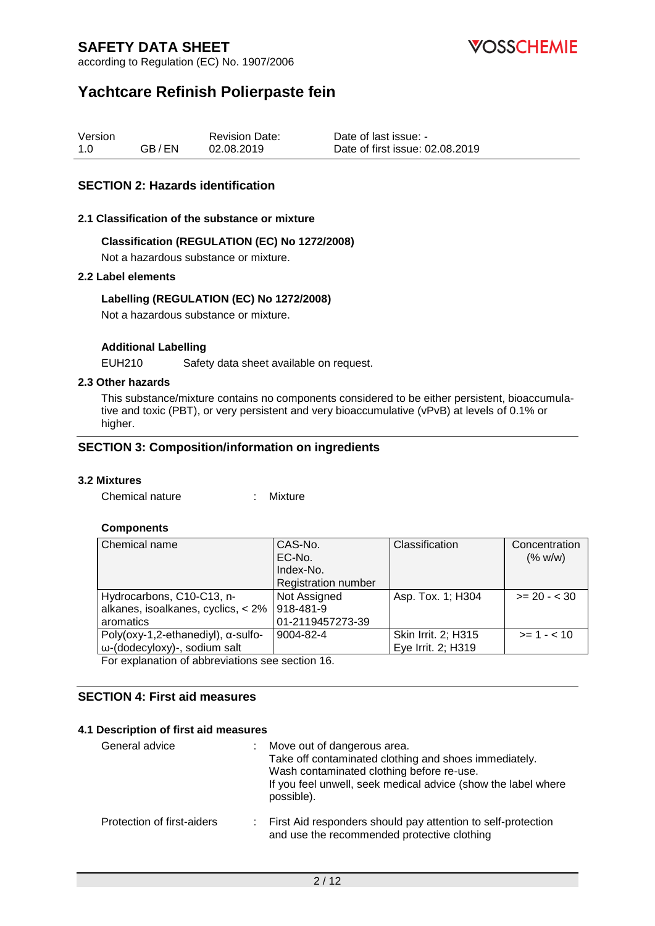

according to Regulation (EC) No. 1907/2006

# **Yachtcare Refinish Polierpaste fein**

| Version |       | <b>Revision Date:</b> | Date of last issue: -           |
|---------|-------|-----------------------|---------------------------------|
| 1.0     | GB/EN | 02.08.2019            | Date of first issue: 02.08.2019 |

#### **SECTION 2: Hazards identification**

#### **2.1 Classification of the substance or mixture**

#### **Classification (REGULATION (EC) No 1272/2008)**

Not a hazardous substance or mixture.

#### **2.2 Label elements**

#### **Labelling (REGULATION (EC) No 1272/2008)**

Not a hazardous substance or mixture.

#### **Additional Labelling**

EUH210 Safety data sheet available on request.

#### **2.3 Other hazards**

This substance/mixture contains no components considered to be either persistent, bioaccumulative and toxic (PBT), or very persistent and very bioaccumulative (vPvB) at levels of 0.1% or higher.

#### **SECTION 3: Composition/information on ingredients**

#### **3.2 Mixtures**

Chemical nature : Mixture

#### **Components**

| Chemical name                                  | CAS-No.<br>EC-No.<br>Index-No.<br><b>Registration number</b> | Classification      | Concentration<br>(% w/w) |  |
|------------------------------------------------|--------------------------------------------------------------|---------------------|--------------------------|--|
|                                                |                                                              |                     |                          |  |
| Hydrocarbons, C10-C13, n-                      | Not Assigned                                                 | Asp. Tox. 1; H304   | $>= 20 - < 30$           |  |
| alkanes, isoalkanes, cyclics, < 2%             | 918-481-9                                                    |                     |                          |  |
| aromatics                                      | 01-2119457273-39                                             |                     |                          |  |
| Poly( $oxy-1,2$ -ethanediyl), $\alpha$ -sulfo- | 9004-82-4                                                    | Skin Irrit. 2; H315 | $>= 1 - 10$              |  |
| ω-(dodecyloxy)-, sodium salt                   |                                                              | Eye Irrit. 2; H319  |                          |  |
|                                                |                                                              |                     |                          |  |

For explanation of abbreviations see section 16.

#### **SECTION 4: First aid measures**

#### **4.1 Description of first aid measures**

| General advice             | Move out of dangerous area.<br>Take off contaminated clothing and shoes immediately.<br>Wash contaminated clothing before re-use.<br>If you feel unwell, seek medical advice (show the label where<br>possible). |
|----------------------------|------------------------------------------------------------------------------------------------------------------------------------------------------------------------------------------------------------------|
| Protection of first-aiders | : First Aid responders should pay attention to self-protection<br>and use the recommended protective clothing                                                                                                    |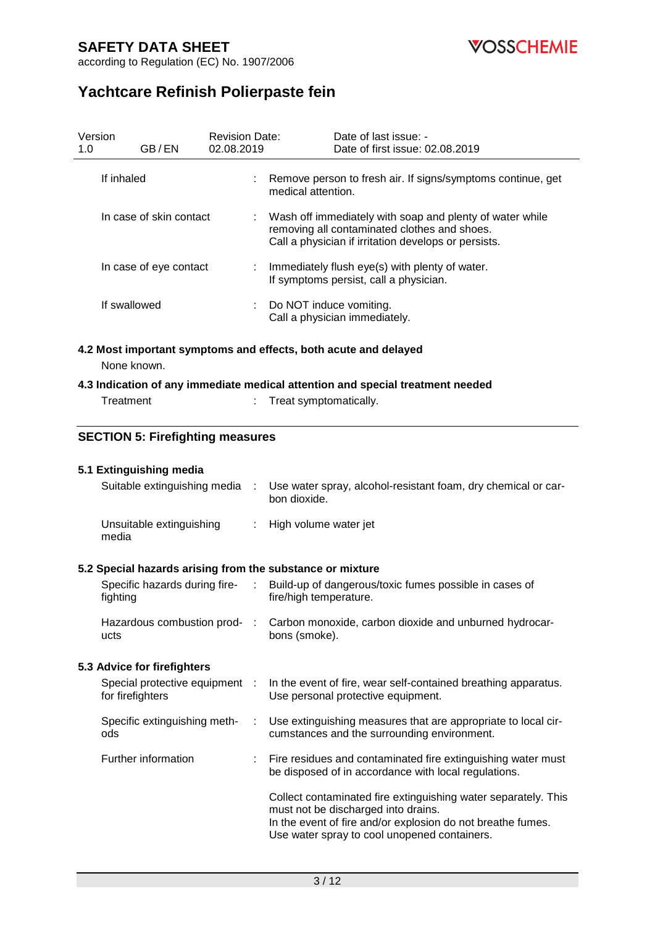**VOSSCHEMIE** 

according to Regulation (EC) No. 1907/2006

# **Yachtcare Refinish Polierpaste fein**

| 1.0 | Version                                 | GB/EN                         | <b>Revision Date:</b><br>02.08.2019 |                                                          | Date of last issue: -<br>Date of first issue: 02.08.2019                                                                                                         |  |
|-----|-----------------------------------------|-------------------------------|-------------------------------------|----------------------------------------------------------|------------------------------------------------------------------------------------------------------------------------------------------------------------------|--|
|     | If inhaled                              |                               |                                     |                                                          | Remove person to fresh air. If signs/symptoms continue, get<br>medical attention.                                                                                |  |
|     |                                         | In case of skin contact       |                                     |                                                          | Wash off immediately with soap and plenty of water while<br>removing all contaminated clothes and shoes.<br>Call a physician if irritation develops or persists. |  |
|     |                                         | In case of eye contact        |                                     |                                                          | : Immediately flush eye(s) with plenty of water.<br>If symptoms persist, call a physician.                                                                       |  |
|     | If swallowed                            |                               |                                     | Do NOT induce vomiting.<br>Call a physician immediately. |                                                                                                                                                                  |  |
|     | None known.                             |                               |                                     |                                                          | 4.2 Most important symptoms and effects, both acute and delayed                                                                                                  |  |
|     |                                         |                               |                                     |                                                          | 4.3 Indication of any immediate medical attention and special treatment needed                                                                                   |  |
|     | Treatment                               |                               |                                     |                                                          | Treat symptomatically.                                                                                                                                           |  |
|     | <b>SECTION 5: Firefighting measures</b> |                               |                                     |                                                          |                                                                                                                                                                  |  |
|     |                                         | 5.1 Extinguishing media       |                                     |                                                          |                                                                                                                                                                  |  |
|     |                                         | Suitable extinguishing media  |                                     | ÷                                                        | Use water spray, alcohol-resistant foam, dry chemical or car-<br>bon dioxide.                                                                                    |  |
|     | media                                   | Unsuitable extinguishing      |                                     | ÷.                                                       | High volume water jet                                                                                                                                            |  |
|     |                                         |                               |                                     |                                                          | 5.2 Special hazards arising from the substance or mixture                                                                                                        |  |
|     | fighting                                | Specific hazards during fire- |                                     | $\sim$                                                   | Build-up of dangerous/toxic fumes possible in cases of<br>fire/high temperature.                                                                                 |  |
|     | ucts                                    | Hazardous combustion prod-    |                                     |                                                          | Carbon monoxide, carbon dioxide and unburned hydrocar-<br>bons (smoke).                                                                                          |  |
|     |                                         | 5.3 Advice for firefighters   |                                     |                                                          |                                                                                                                                                                  |  |
|     | for firefighters                        | Special protective equipment  | - 1                                 |                                                          | In the event of fire, wear self-contained breathing apparatus.<br>Use personal protective equipment.                                                             |  |
|     | ods                                     | Specific extinguishing meth-  |                                     |                                                          | Use extinguishing measures that are appropriate to local cir-<br>cumstances and the surrounding environment.                                                     |  |
|     |                                         | Further information           |                                     |                                                          | Fire residues and contaminated fire extinguishing water must                                                                                                     |  |

be disposed of in accordance with local regulations. Collect contaminated fire extinguishing water separately. This must not be discharged into drains. In the event of fire and/or explosion do not breathe fumes.

Use water spray to cool unopened containers.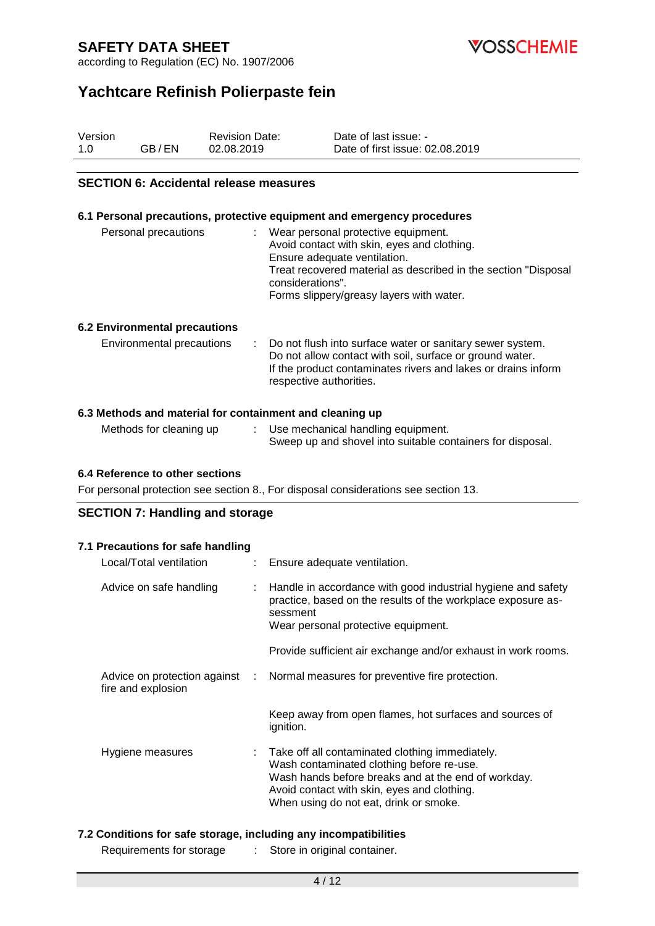

according to Regulation (EC) No. 1907/2006

# **Yachtcare Refinish Polierpaste fein**

| Version |       | <b>Revision Date:</b> | Date of last issue: -           |
|---------|-------|-----------------------|---------------------------------|
| 1.0     | GB/EN | 02.08.2019            | Date of first issue: 02.08.2019 |

#### **SECTION 6: Accidental release measures**

#### **6.1 Personal precautions, protective equipment and emergency procedures**

| Personal precautions                 | Wear personal protective equipment.<br>Avoid contact with skin, eyes and clothing.<br>Ensure adequate ventilation.<br>Treat recovered material as described in the section "Disposal<br>considerations".<br>Forms slippery/greasy layers with water. |
|--------------------------------------|------------------------------------------------------------------------------------------------------------------------------------------------------------------------------------------------------------------------------------------------------|
| <b>6.2 Environmental precautions</b> |                                                                                                                                                                                                                                                      |

# Environmental precautions : Do not flush into surface water or sanitary sewer system.

| Do not allow contact with soil, surface or ground water.      |
|---------------------------------------------------------------|
| If the product contaminates rivers and lakes or drains inform |
| respective authorities.                                       |

#### **6.3 Methods and material for containment and cleaning up**

| Methods for cleaning up | Use mechanical handling equipment.                         |
|-------------------------|------------------------------------------------------------|
|                         | Sweep up and shovel into suitable containers for disposal. |

#### **6.4 Reference to other sections**

For personal protection see section 8., For disposal considerations see section 13.

#### **SECTION 7: Handling and storage**

#### **7.1 Precautions for safe handling**

| Local/Total ventilation | : Ensure adequate ventilation.                                                                                                                                                                                                               |
|-------------------------|----------------------------------------------------------------------------------------------------------------------------------------------------------------------------------------------------------------------------------------------|
| Advice on safe handling | Handle in accordance with good industrial hygiene and safety<br>practice, based on the results of the workplace exposure as-<br>sessment<br>Wear personal protective equipment.                                                              |
|                         | Provide sufficient air exchange and/or exhaust in work rooms.                                                                                                                                                                                |
| fire and explosion      | Advice on protection against : Normal measures for preventive fire protection.                                                                                                                                                               |
|                         | Keep away from open flames, hot surfaces and sources of<br>ignition.                                                                                                                                                                         |
| Hygiene measures        | Take off all contaminated clothing immediately.<br>Wash contaminated clothing before re-use.<br>Wash hands before breaks and at the end of workday.<br>Avoid contact with skin, eyes and clothing.<br>When using do not eat, drink or smoke. |

#### **7.2 Conditions for safe storage, including any incompatibilities**

Requirements for storage : Store in original container.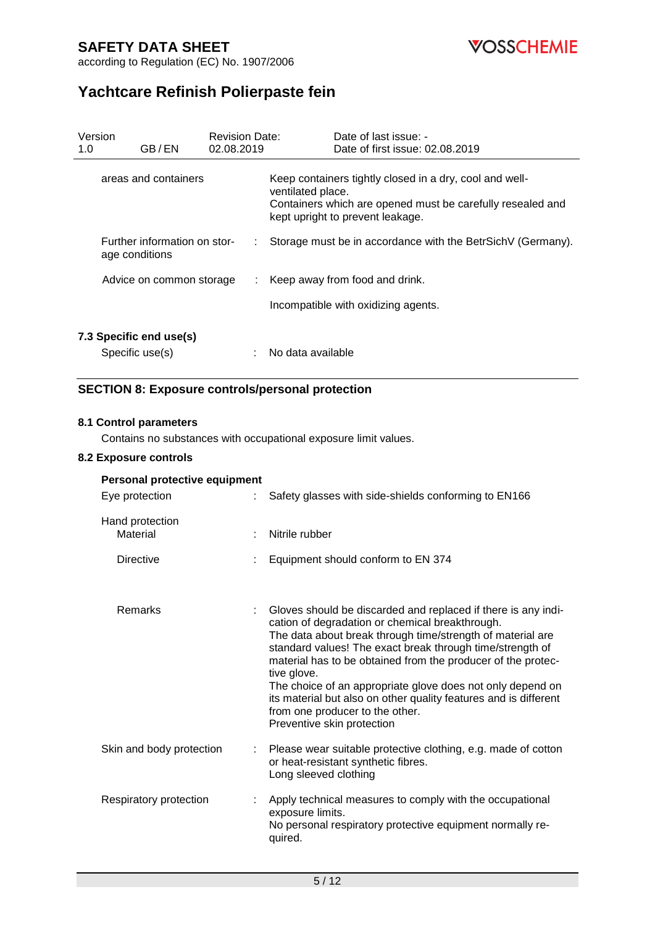**VOSSCHEMIE** 

according to Regulation (EC) No. 1907/2006

# **Yachtcare Refinish Polierpaste fein**

| Version<br>1.0 | GB/EN                                          | <b>Revision Date:</b><br>02.08.2019 | Date of last issue: -<br>Date of first issue: 02.08.2019                                                                                                                       |
|----------------|------------------------------------------------|-------------------------------------|--------------------------------------------------------------------------------------------------------------------------------------------------------------------------------|
|                | areas and containers                           |                                     | Keep containers tightly closed in a dry, cool and well-<br>ventilated place.<br>Containers which are opened must be carefully resealed and<br>kept upright to prevent leakage. |
|                | Further information on stor-<br>age conditions |                                     | Storage must be in accordance with the BetrSichV (Germany).                                                                                                                    |
|                | Advice on common storage                       | ÷.                                  | Keep away from food and drink.                                                                                                                                                 |
|                |                                                |                                     | Incompatible with oxidizing agents.                                                                                                                                            |
|                | 7.3 Specific end use(s)<br>Specific use(s)     |                                     | No data available                                                                                                                                                              |

### **SECTION 8: Exposure controls/personal protection**

#### **8.1 Control parameters**

Contains no substances with occupational exposure limit values.

#### **8.2 Exposure controls**

| Personal protective equipment |    |                                                                                                                                                                                                                                                                                                                                                                                                                                                                                                                               |
|-------------------------------|----|-------------------------------------------------------------------------------------------------------------------------------------------------------------------------------------------------------------------------------------------------------------------------------------------------------------------------------------------------------------------------------------------------------------------------------------------------------------------------------------------------------------------------------|
| Eye protection                |    | Safety glasses with side-shields conforming to EN166                                                                                                                                                                                                                                                                                                                                                                                                                                                                          |
| Hand protection<br>Material   |    | Nitrile rubber                                                                                                                                                                                                                                                                                                                                                                                                                                                                                                                |
| <b>Directive</b>              |    | Equipment should conform to EN 374                                                                                                                                                                                                                                                                                                                                                                                                                                                                                            |
| Remarks                       |    | Gloves should be discarded and replaced if there is any indi-<br>cation of degradation or chemical breakthrough.<br>The data about break through time/strength of material are<br>standard values! The exact break through time/strength of<br>material has to be obtained from the producer of the protec-<br>tive glove.<br>The choice of an appropriate glove does not only depend on<br>its material but also on other quality features and is different<br>from one producer to the other.<br>Preventive skin protection |
| Skin and body protection      | t. | Please wear suitable protective clothing, e.g. made of cotton<br>or heat-resistant synthetic fibres.<br>Long sleeved clothing                                                                                                                                                                                                                                                                                                                                                                                                 |
| Respiratory protection        |    | Apply technical measures to comply with the occupational<br>exposure limits.<br>No personal respiratory protective equipment normally re-<br>quired.                                                                                                                                                                                                                                                                                                                                                                          |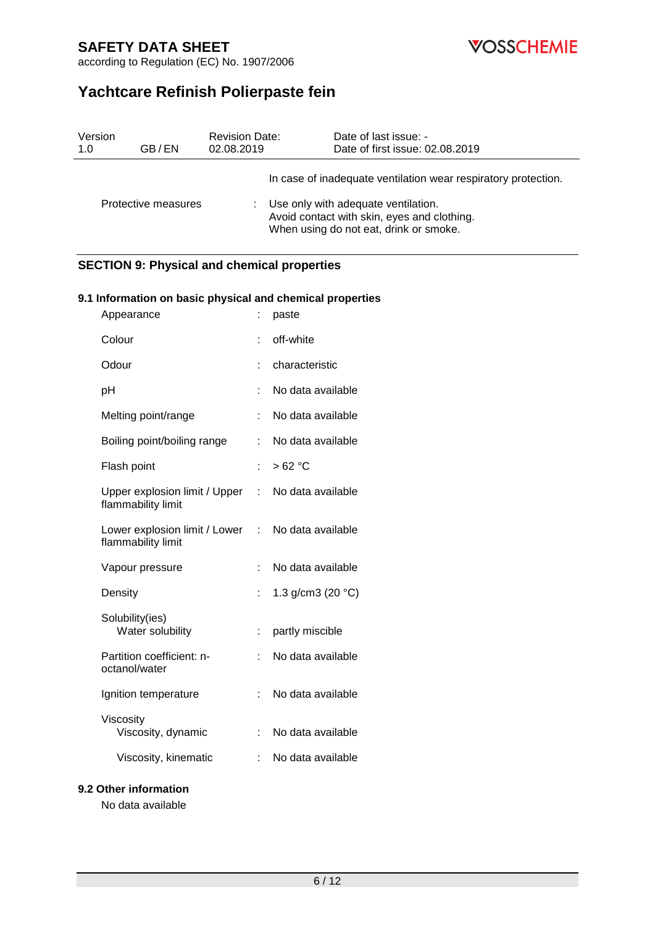**VOSSCHEMIE** 

according to Regulation (EC) No. 1907/2006

# **Yachtcare Refinish Polierpaste fein**

| Version | GB/EN               | <b>Revision Date:</b> | Date of last issue: -                                                                                                                                                                          |
|---------|---------------------|-----------------------|------------------------------------------------------------------------------------------------------------------------------------------------------------------------------------------------|
| 1.0     |                     | 02.08.2019            | Date of first issue: 02.08.2019                                                                                                                                                                |
|         | Protective measures |                       | In case of inadequate ventilation wear respiratory protection.<br>Use only with adequate ventilation.<br>Avoid contact with skin, eyes and clothing.<br>When using do not eat, drink or smoke. |

### **SECTION 9: Physical and chemical properties**

#### **9.1 Information on basic physical and chemical properties**

| Appearance                                          |    | paste               |
|-----------------------------------------------------|----|---------------------|
| Colour                                              |    | off-white           |
| Odour                                               |    | characteristic      |
| рH                                                  |    | No data available   |
| Melting point/range                                 | t  | No data available   |
| Boiling point/boiling range                         | t  | No data available   |
| Flash point                                         | t. | >62 °C              |
| Upper explosion limit / Upper<br>flammability limit | t. | No data available   |
| Lower explosion limit / Lower<br>flammability limit | t. | No data available   |
| Vapour pressure                                     |    | No data available   |
| Density                                             |    | 1.3 $g/cm3$ (20 °C) |
| Solubility(ies)<br>Water solubility                 | İ, | partly miscible     |
| Partition coefficient: n-<br>octanol/water          | t. | No data available   |
| Ignition temperature                                | t  | No data available   |
| Viscosity<br>Viscosity, dynamic                     |    | No data available   |
| Viscosity, kinematic                                |    | No data available   |

#### **9.2 Other information**

No data available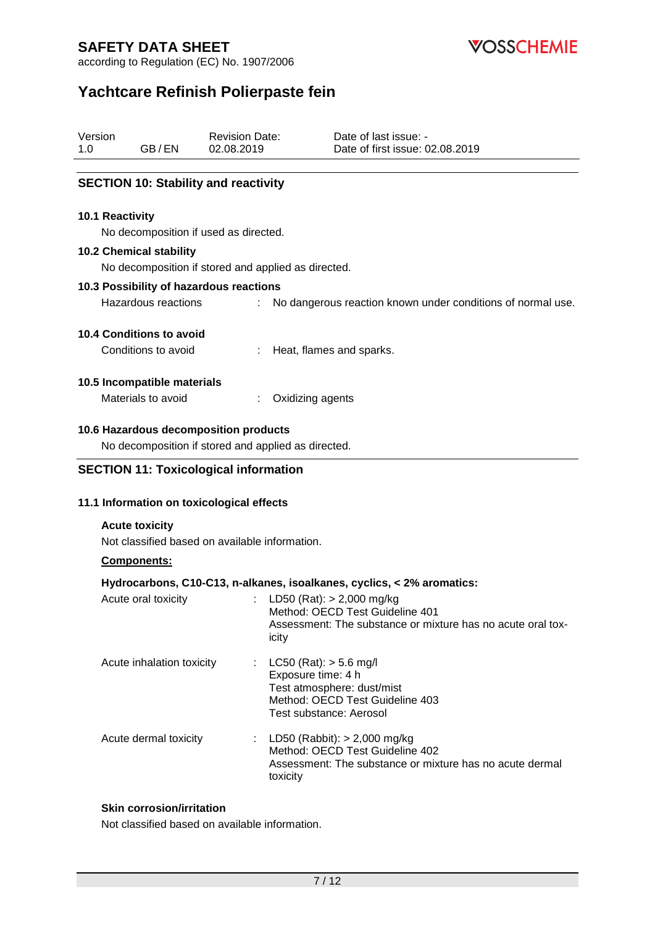

according to Regulation (EC) No. 1907/2006

# **Yachtcare Refinish Polierpaste fein**

| Version |       | <b>Revision Date:</b> | Date of last issue: -           |
|---------|-------|-----------------------|---------------------------------|
| 1.0     | GB/EN | 02.08.2019            | Date of first issue: 02.08.2019 |

#### **SECTION 10: Stability and reactivity**

#### **10.1 Reactivity**

No decomposition if used as directed.

#### **10.2 Chemical stability**

No decomposition if stored and applied as directed.

#### **10.3 Possibility of hazardous reactions**

Hazardous reactions : No dangerous reaction known under conditions of normal use.

#### **10.4 Conditions to avoid**

Conditions to avoid : Heat, flames and sparks.

#### **10.5 Incompatible materials**

Materials to avoid : Oxidizing agents

#### **10.6 Hazardous decomposition products**

No decomposition if stored and applied as directed.

#### **SECTION 11: Toxicological information**

#### **11.1 Information on toxicological effects**

#### **Acute toxicity**

Not classified based on available information.

#### **Components:**

#### **Hydrocarbons, C10-C13, n-alkanes, isoalkanes, cyclics, < 2% aromatics:**

| Acute oral toxicity       | : LD50 (Rat): $>$ 2,000 mg/kg<br>Method: OECD Test Guideline 401<br>Assessment: The substance or mixture has no acute oral tox-<br>icity       |
|---------------------------|------------------------------------------------------------------------------------------------------------------------------------------------|
| Acute inhalation toxicity | : $LC50$ (Rat): $> 5.6$ mg/l<br>Exposure time: 4 h<br>Test atmosphere: dust/mist<br>Method: OECD Test Guideline 403<br>Test substance: Aerosol |
| Acute dermal toxicity     | : LD50 (Rabbit): $>$ 2,000 mg/kg<br>Method: OECD Test Guideline 402<br>Assessment: The substance or mixture has no acute dermal<br>toxicity    |

#### **Skin corrosion/irritation**

Not classified based on available information.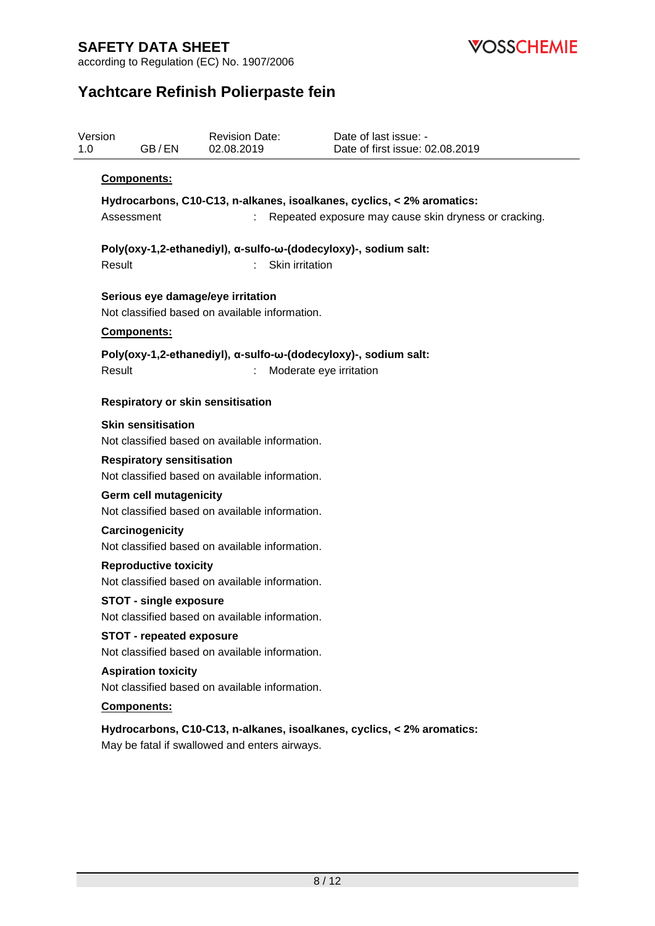**VOSSCHEMIE** 

according to Regulation (EC) No. 1907/2006

# **Yachtcare Refinish Polierpaste fein**

| 1.0 | Version<br>GB/EN                                                                | <b>Revision Date:</b><br>02.08.2019            | Date of last issue: -<br>Date of first issue: 02.08.2019               |  |  |  |
|-----|---------------------------------------------------------------------------------|------------------------------------------------|------------------------------------------------------------------------|--|--|--|
|     | Components:                                                                     |                                                |                                                                        |  |  |  |
|     |                                                                                 |                                                | Hydrocarbons, C10-C13, n-alkanes, isoalkanes, cyclics, < 2% aromatics: |  |  |  |
|     | Assessment                                                                      |                                                | Repeated exposure may cause skin dryness or cracking.                  |  |  |  |
|     |                                                                                 |                                                |                                                                        |  |  |  |
|     | Result                                                                          | Skin irritation                                | Poly(oxy-1,2-ethanediyl), α-sulfo-ω-(dodecyloxy)-, sodium salt:        |  |  |  |
|     |                                                                                 |                                                |                                                                        |  |  |  |
|     | Serious eye damage/eye irritation                                               |                                                |                                                                        |  |  |  |
|     |                                                                                 | Not classified based on available information. |                                                                        |  |  |  |
|     | <b>Components:</b>                                                              |                                                |                                                                        |  |  |  |
|     |                                                                                 |                                                | Poly(oxy-1,2-ethanediyl), α-sulfo-ω-(dodecyloxy)-, sodium salt:        |  |  |  |
|     | Result                                                                          |                                                | Moderate eye irritation                                                |  |  |  |
|     | <b>Respiratory or skin sensitisation</b>                                        |                                                |                                                                        |  |  |  |
|     | <b>Skin sensitisation</b>                                                       |                                                |                                                                        |  |  |  |
|     |                                                                                 | Not classified based on available information. |                                                                        |  |  |  |
|     | <b>Respiratory sensitisation</b>                                                |                                                |                                                                        |  |  |  |
|     | Not classified based on available information.                                  |                                                |                                                                        |  |  |  |
|     | <b>Germ cell mutagenicity</b><br>Not classified based on available information. |                                                |                                                                        |  |  |  |
|     | Carcinogenicity                                                                 |                                                |                                                                        |  |  |  |
|     | Not classified based on available information.                                  |                                                |                                                                        |  |  |  |
|     | <b>Reproductive toxicity</b>                                                    |                                                |                                                                        |  |  |  |
|     |                                                                                 | Not classified based on available information. |                                                                        |  |  |  |
|     | <b>STOT - single exposure</b>                                                   |                                                |                                                                        |  |  |  |
|     | <b>STOT - repeated exposure</b>                                                 | Not classified based on available information. |                                                                        |  |  |  |
|     |                                                                                 | Not classified based on available information. |                                                                        |  |  |  |
|     | <b>Aspiration toxicity</b>                                                      |                                                |                                                                        |  |  |  |
|     | Not classified based on available information.                                  |                                                |                                                                        |  |  |  |
|     | Components:                                                                     |                                                |                                                                        |  |  |  |
|     |                                                                                 |                                                | Hydrocarbons, C10-C13, n-alkanes, isoalkanes, cyclics, < 2% aromatics: |  |  |  |
|     |                                                                                 | May be fatal if swallowed and enters airways.  |                                                                        |  |  |  |
|     |                                                                                 |                                                |                                                                        |  |  |  |
|     |                                                                                 |                                                |                                                                        |  |  |  |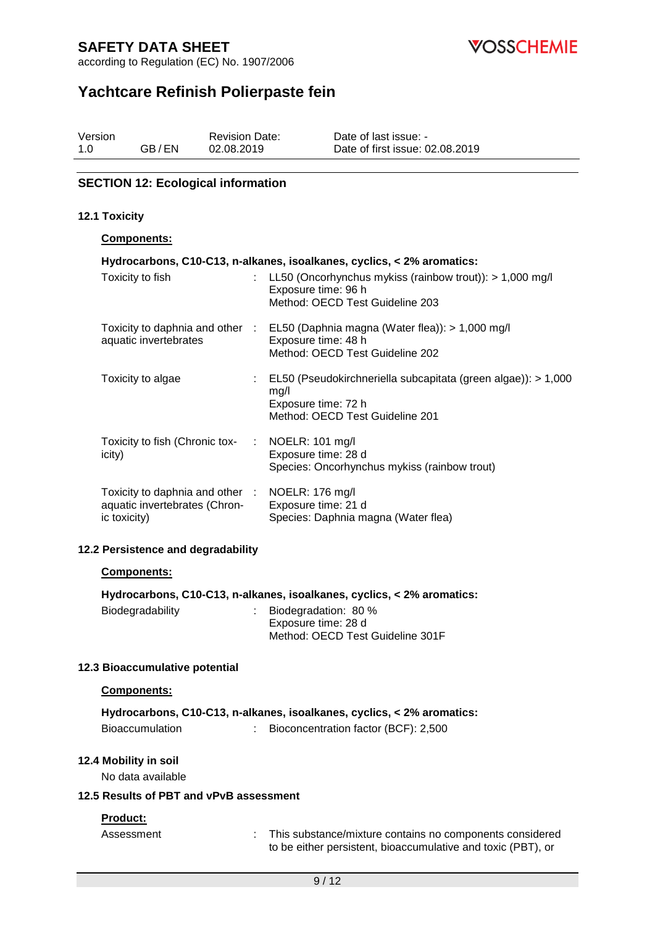

according to Regulation (EC) No. 1907/2006

# **Yachtcare Refinish Polierpaste fein**

| Version |       | <b>Revision Date:</b> | Date of last issue: -           |
|---------|-------|-----------------------|---------------------------------|
| 1.0     | GB/EN | 02.08.2019            | Date of first issue: 02.08.2019 |

#### **SECTION 12: Ecological information**

#### **12.1 Toxicity**

#### **Components:**

| Hydrocarbons, C10-C13, n-alkanes, isoalkanes, cyclics, < 2% aromatics:                           |  |                                                                                                                                              |  |  |  |
|--------------------------------------------------------------------------------------------------|--|----------------------------------------------------------------------------------------------------------------------------------------------|--|--|--|
| Toxicity to fish                                                                                 |  | : LL50 (Oncorhynchus mykiss (rainbow trout)): $> 1,000$ mg/l<br>Exposure time: 96 h<br>Method: OECD Test Guideline 203                       |  |  |  |
| aquatic invertebrates                                                                            |  | Toxicity to daphnia and other : EL50 (Daphnia magna (Water flea)): > 1,000 mg/l<br>Exposure time: 48 h<br>Method: OECD Test Guideline 202    |  |  |  |
| Toxicity to algae                                                                                |  | $\therefore$ EL50 (Pseudokirchneriella subcapitata (green algae)): > 1,000<br>mg/l<br>Exposure time: 72 h<br>Method: OECD Test Guideline 201 |  |  |  |
| Toxicity to fish (Chronic tox- : NOELR: 101 mg/l<br>icity)                                       |  | Exposure time: 28 d<br>Species: Oncorhynchus mykiss (rainbow trout)                                                                          |  |  |  |
| Toxicity to daphnia and other : NOELR: 176 mg/l<br>aquatic invertebrates (Chron-<br>ic toxicity) |  | Exposure time: 21 d<br>Species: Daphnia magna (Water flea)                                                                                   |  |  |  |

#### **12.2 Persistence and degradability**

#### **Components:**

|                  | Hydrocarbons, C10-C13, n-alkanes, isoalkanes, cyclics, < 2% aromatics: |
|------------------|------------------------------------------------------------------------|
| Biodegradability | Biodegradation: 80 %                                                   |
|                  | Exposure time: 28 d                                                    |
|                  | Method: OECD Test Guideline 301F                                       |

#### **12.3 Bioaccumulative potential**

#### **Components:**

|                 | Hydrocarbons, C10-C13, n-alkanes, isoalkanes, cyclics, < 2% aromatics: |
|-----------------|------------------------------------------------------------------------|
| Bioaccumulation | Bioconcentration factor (BCF): 2,500                                   |

#### **12.4 Mobility in soil**

No data available

#### **12.5 Results of PBT and vPvB assessment**

#### **Product:**

Assessment : This substance/mixture contains no components considered to be either persistent, bioaccumulative and toxic (PBT), or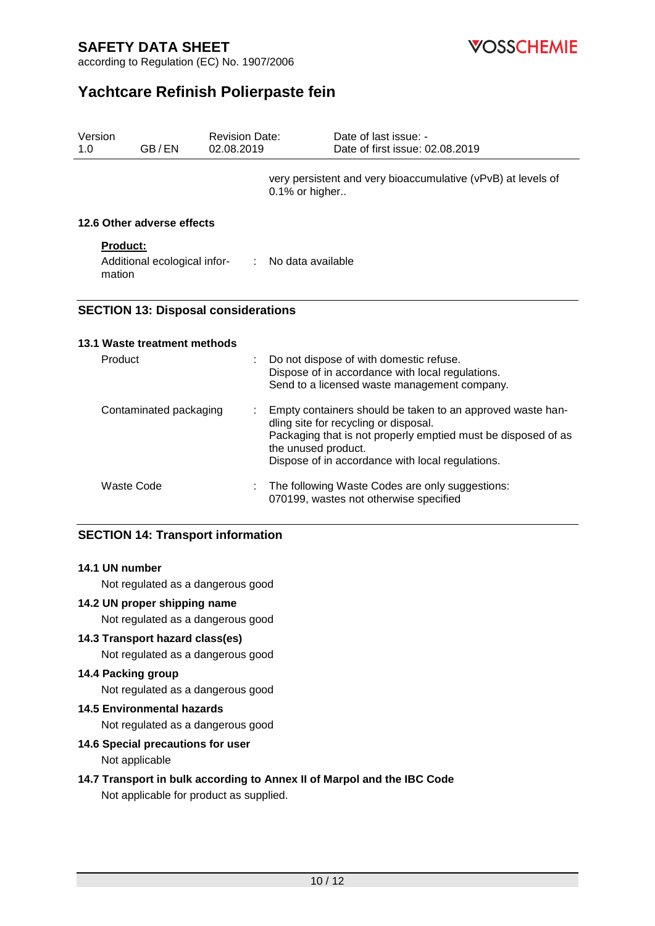**VOSSCHEMIE** 

according to Regulation (EC) No. 1907/2006

# **Yachtcare Refinish Polierpaste fein**

| Version<br>1.0            | GB/EN                                      | <b>Revision Date:</b><br>02.08.2019 | Date of last issue: -<br>Date of first issue: 02.08.2019                                                                                                                                                                                        |
|---------------------------|--------------------------------------------|-------------------------------------|-------------------------------------------------------------------------------------------------------------------------------------------------------------------------------------------------------------------------------------------------|
|                           |                                            |                                     | very persistent and very bioaccumulative (vPvB) at levels of<br>0.1% or higher                                                                                                                                                                  |
|                           | 12.6 Other adverse effects                 |                                     |                                                                                                                                                                                                                                                 |
| <b>Product:</b><br>mation | Additional ecological infor-               | $\mathbb{R}^n$                      | No data available                                                                                                                                                                                                                               |
|                           | <b>SECTION 13: Disposal considerations</b> |                                     |                                                                                                                                                                                                                                                 |
|                           | 13.1 Waste treatment methods               |                                     |                                                                                                                                                                                                                                                 |
| Product                   |                                            |                                     | Do not dispose of with domestic refuse.<br>Dispose of in accordance with local regulations.<br>Send to a licensed waste management company.                                                                                                     |
|                           | Contaminated packaging                     |                                     | Empty containers should be taken to an approved waste han-<br>dling site for recycling or disposal.<br>Packaging that is not properly emptied must be disposed of as<br>the unused product.<br>Dispose of in accordance with local regulations. |
|                           | <b>Waste Code</b>                          |                                     | The following Waste Codes are only suggestions:<br>070199, wastes not otherwise specified                                                                                                                                                       |

#### **SECTION 14: Transport information**

#### **14.1 UN number**

Not regulated as a dangerous good

#### **14.2 UN proper shipping name**

Not regulated as a dangerous good

#### **14.3 Transport hazard class(es)**

Not regulated as a dangerous good

### **14.4 Packing group**

Not regulated as a dangerous good

#### **14.5 Environmental hazards**

Not regulated as a dangerous good

#### **14.6 Special precautions for user**

Not applicable

#### **14.7 Transport in bulk according to Annex II of Marpol and the IBC Code** Not applicable for product as supplied.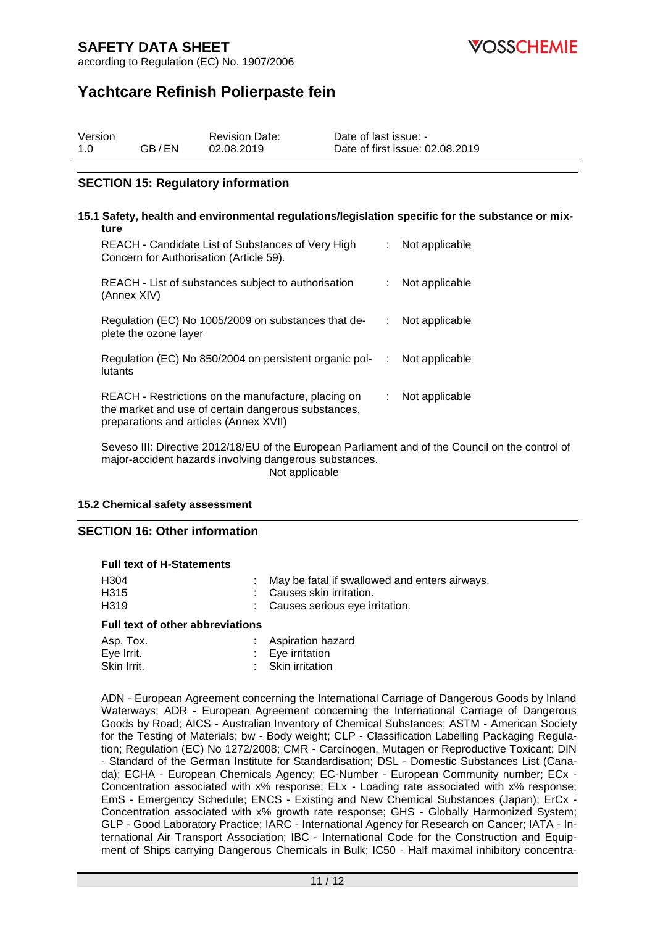

according to Regulation (EC) No. 1907/2006

# **Yachtcare Refinish Polierpaste fein**

| Version |       | <b>Revision Date:</b> | Date of last issue: -           |
|---------|-------|-----------------------|---------------------------------|
| 1.0     | GB/EN | 02.08.2019            | Date of first issue: 02.08.2019 |

#### **SECTION 15: Regulatory information**

#### **15.1 Safety, health and environmental regulations/legislation specific for the substance or mixture** REACH - Candidate List of Substances of Very High Concern for Authorisation (Article 59). : Not applicable REACH - List of substances subject to authorisation (Annex XIV) : Not applicable Regulation (EC) No 1005/2009 on substances that deplete the ozone layer : Not applicable Regulation (EC) No 850/2004 on persistent organic pollutants : Not applicable REACH - Restrictions on the manufacture, placing on the market and use of certain dangerous substances, preparations and articles (Annex XVII) : Not applicable Seveso III: Directive 2012/18/EU of the European Parliament and of the Council on the control of

major-accident hazards involving dangerous substances. Not applicable

#### **15.2 Chemical safety assessment**

#### **SECTION 16: Other information**

#### **Full text of H-Statements**

| H319 | : Causes serious eye irritation.                |
|------|-------------------------------------------------|
| H315 | : Causes skin irritation.                       |
| H304 | : May be fatal if swallowed and enters airways. |

#### **Full text of other abbreviations**

| Asp. Tox.   | <b>Aspiration hazard</b>    |
|-------------|-----------------------------|
| Eye Irrit.  | $\therefore$ Eye irritation |
| Skin Irrit. | : Skin irritation           |

ADN - European Agreement concerning the International Carriage of Dangerous Goods by Inland Waterways; ADR - European Agreement concerning the International Carriage of Dangerous Goods by Road; AICS - Australian Inventory of Chemical Substances; ASTM - American Society for the Testing of Materials; bw - Body weight; CLP - Classification Labelling Packaging Regulation; Regulation (EC) No 1272/2008; CMR - Carcinogen, Mutagen or Reproductive Toxicant; DIN - Standard of the German Institute for Standardisation; DSL - Domestic Substances List (Canada); ECHA - European Chemicals Agency; EC-Number - European Community number; ECx - Concentration associated with x% response; ELx - Loading rate associated with x% response; EmS - Emergency Schedule; ENCS - Existing and New Chemical Substances (Japan); ErCx - Concentration associated with x% growth rate response; GHS - Globally Harmonized System; GLP - Good Laboratory Practice; IARC - International Agency for Research on Cancer; IATA - International Air Transport Association; IBC - International Code for the Construction and Equipment of Ships carrying Dangerous Chemicals in Bulk; IC50 - Half maximal inhibitory concentra